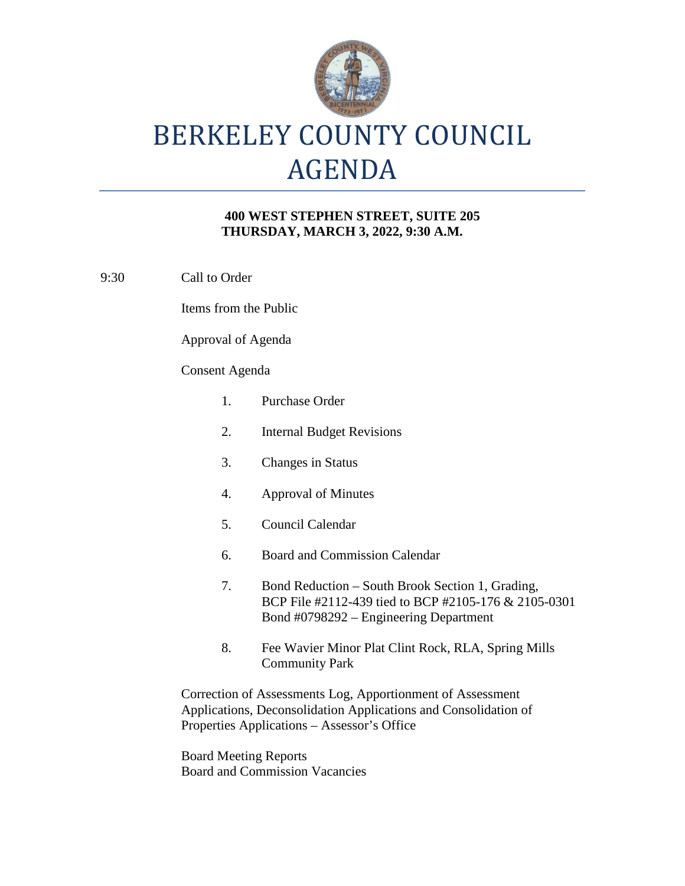

## BERKELEY COUNTY COUNCIL AGENDA

## **400 WEST STEPHEN STREET, SUITE 205 THURSDAY, MARCH 3, 2022, 9:30 A.M.**

9:30 Call to Order

Items from the Public

Approval of Agenda

## Consent Agenda

| 1.                                                                                                                                                                           | Purchase Order                                                                                                                                     |
|------------------------------------------------------------------------------------------------------------------------------------------------------------------------------|----------------------------------------------------------------------------------------------------------------------------------------------------|
| 2.                                                                                                                                                                           | <b>Internal Budget Revisions</b>                                                                                                                   |
| 3.                                                                                                                                                                           | <b>Changes in Status</b>                                                                                                                           |
| 4.                                                                                                                                                                           | <b>Approval of Minutes</b>                                                                                                                         |
| 5.                                                                                                                                                                           | Council Calendar                                                                                                                                   |
| 6.                                                                                                                                                                           | <b>Board and Commission Calendar</b>                                                                                                               |
| 7.                                                                                                                                                                           | Bond Reduction – South Brook Section 1, Grading,<br>BCP File #2112-439 tied to BCP #2105-176 & 2105-0301<br>Bond #0798292 – Engineering Department |
| 8.                                                                                                                                                                           | Fee Wavier Minor Plat Clint Rock, RLA, Spring Mills<br><b>Community Park</b>                                                                       |
| Correction of Assessments Log, Apportionment of Assessment<br>Applications, Deconsolidation Applications and Consolidation of<br>Properties Applications – Assessor's Office |                                                                                                                                                    |

Board Meeting Reports Board and Commission Vacancies